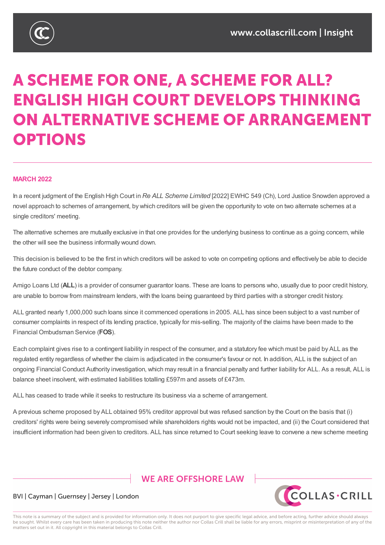

# **A SCHEME FOR ONE, A SCHEME FOR ALL? ENGLISH HIGH COURT DEVELOPS THINKING** ON ALTERNATIVE SCHEME OF ARRANGEMENT **OPTIONS**

## **MARCH 2022**

In a recent judgment of the English High Court in *Re ALL Scheme Limited* [2022] EWHC 549 (Ch), Lord Justice Snowden approved a novel approach to schemes of arrangement, by which creditors will be given the opportunity to vote on two alternate schemes at a single creditors' meeting.

The alternative schemes are mutually exclusive in that one provides for the underlying business to continue as a going concern, while the other will see the business informally wound down.

This decision is believed to be the first in which creditors will be asked to vote on competing options and effectively be able to decide the future conduct of the debtor company.

Amigo Loans Ltd (**ALL**) is a provider of consumer guarantor loans. These are loans to persons who, usually due to poor credit history, are unable to borrow from mainstream lenders, with the loans being guaranteed by third parties with a stronger credit history.

ALL granted nearly 1,000,000 such loans since it commenced operations in 2005. ALL has since been subject to a vast number of consumer complaints in respect of its lending practice, typically for mis-selling. The majority of the claims have been made to the Financial Ombudsman Service (**FOS**).

Each complaint gives rise to a contingent liability in respect of the consumer, and a statutory fee which must be paid by ALL as the regulated entity regardless of whether the claim is adjudicated in the consumer's favour or not. In addition, ALL is the subject of an ongoing Financial Conduct Authority investigation, which may result in a financial penalty and further liability for ALL. As a result, ALL is balance sheet insolvent, with estimated liabilities totalling £597m and assets of £473m.

ALL has ceased to trade while it seeks to restructure its business via a scheme of arrangement.

A previous scheme proposed by ALL obtained 95% creditor approval but was refused sanction by the Court on the basis that (i) creditors' rights were being severely compromised while shareholders rights would not be impacted, and (ii) the Court considered that insufficient information had been given to creditors. ALL has since returned to Court seeking leave to convene a new scheme meeting

# **WE ARE OFFSHORE I AW**



## BVI | Cayman | Guernsey | Jersey | London

This note is a summary of the subject and is provided for information only. It does not purport to give specific legal advice, and before acting, further advice should always be sought. Whilst every care has been taken in producing this note neither the author nor Collas Crill shall be liable for any errors, misprint or misinterpretation of any of the matters set out in it. All copyright in this material belongs to Collas Crill.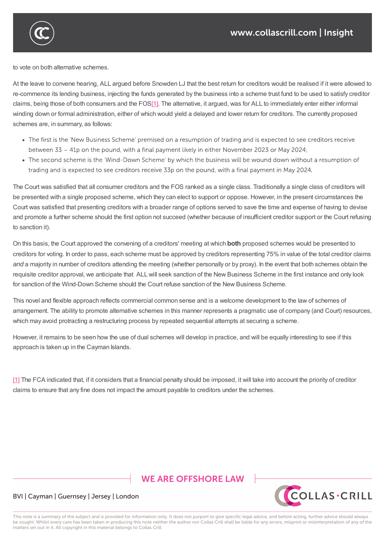

to vote on both alternative schemes.

At the leave to convene hearing, ALL argued before Snowden LJ that the best return for creditors would be realised if it were allowed to re-commence its lending business, injecting the funds generated by the business into a scheme trust fund to be used to satisfy creditor claims, being those of both consumers and the FOS[1]. The alternative, it argued, was for ALL to immediately enter either informal winding down or formal administration, either of which would yield a delayed and lower return for creditors. The currently proposed schemes are, in summary, as follows:

insufficient information had been given to creditors. ALL has since returned to Court seeking leave to convene a new scheme meeting

- The first is the 'New Business Scheme' premised on a resumption of trading and is expected to see creditors receive between 33 - 41p on the pound, with a final payment likely in either November 2023 or May 2024;
- The second scheme is the 'Wind-Down Scheme' by which the business will be wound down without a resumption of trading and is expected to see creditors receive 33p on the pound, with a final payment in May 2024.

The Court was satisfied that all consumer creditors and the FOS ranked as a single class. Traditionally a single class of creditors will be presented with a single proposed scheme, which they can elect to support or oppose. However, in the present circumstances the Court was satisfied that presenting creditors with a broader range of options served to save the time and expense of having to devise and promote a further scheme should the first option not succeed (whether because of insufficient creditor support or the Court refusing to sanction it).

On this basis, the Court approved the convening of a creditors' meeting at which **both** proposed schemes would be presented to creditors for voting. In order to pass, each scheme must be approved by creditors representing 75% in value of the total creditor claims and a majority in number of creditors attending the meeting (whether personally or by proxy). In the event that both schemes obtain the requisite creditor approval, we anticipate that ALL will seek sanction of the New Business Scheme in the first instance and only look for sanction of the Wind-Down Scheme should the Court refuse sanction of the New Business Scheme.

This novel and flexible approach reflects commercial common sense and is a welcome development to the law of schemes of arrangement. The ability to promote alternative schemes in this manner represents a pragmatic use of company (and Court) resources, which may avoid protracting a restructuring process by repeated sequential attempts at securing a scheme.

However, it remains to be seen how the use of dual schemes will develop in practice, and will be equally interesting to see if this approach is taken up in the Cayman Islands.

[1] The FCA indicated that, if it considers that a financial penalty should be imposed, it will take into account the priority of creditor claims to ensure that any fine does not impact the amount payable to creditors under the schemes.

## **WE ARE OFFSHORE LAW**



## BVI | Cayman | Guernsey | Jersey | London

This note is a summary of the subject and is provided for information only. It does not purport to give specific legal advice, and before acting, further advice should always be sought. Whilst every care has been taken in producing this note neither the author nor Collas Crill shall be liable for any errors, misprint or misinterpretation of any of the matters set out in it. All copyright in this material belongs to Collas Crill.